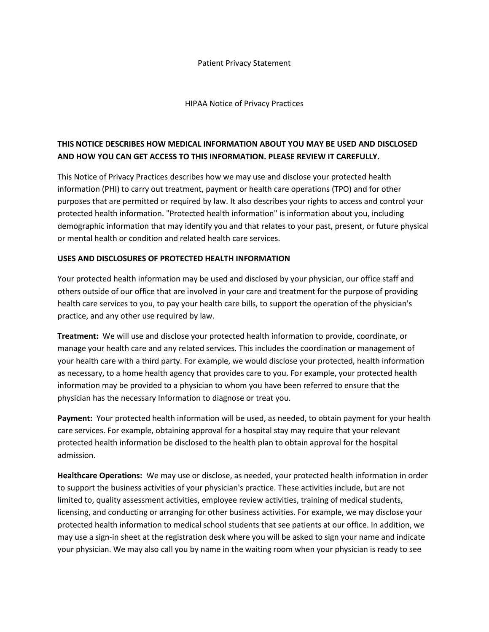#### Patient Privacy Statement

#### HIPAA Notice of Privacy Practices

# **THIS NOTICE DESCRIBES HOW MEDICAL INFORMATION ABOUT YOU MAY BE USED AND DISCLOSED AND HOW YOU CAN GET ACCESS TO THIS INFORMATION. PLEASE REVIEW IT CAREFULLY.**

This Notice of Privacy Practices describes how we may use and disclose your protected health information (PHI) to carry out treatment, payment or health care operations (TPO) and for other purposes that are permitted or required by law. It also describes your rights to access and control your protected health information. "Protected health information" is information about you, including demographic information that may identify you and that relates to your past, present, or future physical or mental health or condition and related health care services.

### **USES AND DISCLOSURES OF PROTECTED HEALTH INFORMATION**

Your protected health information may be used and disclosed by your physician, our office staff and others outside of our office that are involved in your care and treatment for the purpose of providing health care services to you, to pay your health care bills, to support the operation of the physician's practice, and any other use required by law.

**Treatment:** We will use and disclose your protected health information to provide, coordinate, or manage your health care and any related services. This includes the coordination or management of your health care with a third party. For example, we would disclose your protected, health information as necessary, to a home health agency that provides care to you. For example, your protected health information may be provided to a physician to whom you have been referred to ensure that the physician has the necessary Information to diagnose or treat you.

**Payment:** Your protected health information will be used, as needed, to obtain payment for your health care services. For example, obtaining approval for a hospital stay may require that your relevant protected health information be disclosed to the health plan to obtain approval for the hospital admission.

**Healthcare Operations:** We may use or disclose, as needed, your protected health information in order to support the business activities of your physician's practice. These activities include, but are not limited to, quality assessment activities, employee review activities, training of medical students, licensing, and conducting or arranging for other business activities. For example, we may disclose your protected health information to medical school students that see patients at our office. In addition, we may use a sign-in sheet at the registration desk where you will be asked to sign your name and indicate your physician. We may also call you by name in the waiting room when your physician is ready to see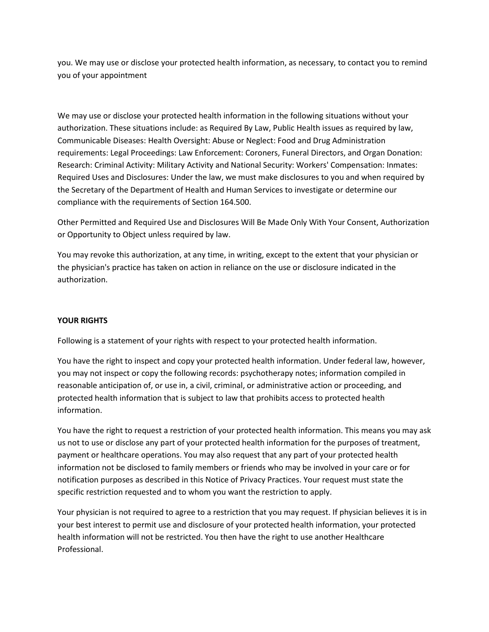you. We may use or disclose your protected health information, as necessary, to contact you to remind you of your appointment

We may use or disclose your protected health information in the following situations without your authorization. These situations include: as Required By Law, Public Health issues as required by law, Communicable Diseases: Health Oversight: Abuse or Neglect: Food and Drug Administration requirements: Legal Proceedings: Law Enforcement: Coroners, Funeral Directors, and Organ Donation: Research: Criminal Activity: Military Activity and National Security: Workers' Compensation: Inmates: Required Uses and Disclosures: Under the law, we must make disclosures to you and when required by the Secretary of the Department of Health and Human Services to investigate or determine our compliance with the requirements of Section 164.500.

Other Permitted and Required Use and Disclosures Will Be Made Only With Your Consent, Authorization or Opportunity to Object unless required by law.

You may revoke this authorization, at any time, in writing, except to the extent that your physician or the physician's practice has taken on action in reliance on the use or disclosure indicated in the authorization.

## **YOUR RIGHTS**

Following is a statement of your rights with respect to your protected health information.

You have the right to inspect and copy your protected health information. Under federal law, however, you may not inspect or copy the following records: psychotherapy notes; information compiled in reasonable anticipation of, or use in, a civil, criminal, or administrative action or proceeding, and protected health information that is subject to law that prohibits access to protected health information.

You have the right to request a restriction of your protected health information. This means you may ask us not to use or disclose any part of your protected health information for the purposes of treatment, payment or healthcare operations. You may also request that any part of your protected health information not be disclosed to family members or friends who may be involved in your care or for notification purposes as described in this Notice of Privacy Practices. Your request must state the specific restriction requested and to whom you want the restriction to apply.

Your physician is not required to agree to a restriction that you may request. If physician believes it is in your best interest to permit use and disclosure of your protected health information, your protected health information will not be restricted. You then have the right to use another Healthcare Professional.